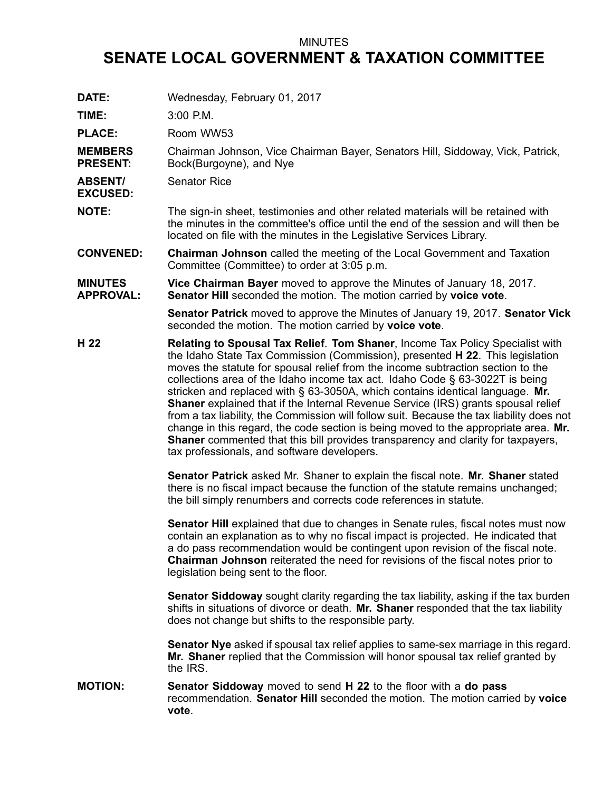## MINUTES

## **SENATE LOCAL GOVERNMENT & TAXATION COMMITTEE**

**DATE:** Wednesday, February 01, 2017

**TIME:** 3:00 P.M.

**PLACE:** Room WW53

**MEMBERS PRESENT:** Chairman Johnson, Vice Chairman Bayer, Senators Hill, Siddoway, Vick, Patrick, Bock(Burgoyne), and Nye

**ABSENT/** Senator Rice

**EXCUSED:**

**NOTE:** The sign-in sheet, testimonies and other related materials will be retained with the minutes in the committee's office until the end of the session and will then be located on file with the minutes in the Legislative Services Library.

**CONVENED: Chairman Johnson** called the meeting of the Local Government and Taxation Committee (Committee) to order at 3:05 p.m.

**MINUTES APPROVAL: Vice Chairman Bayer** moved to approve the Minutes of January 18, 2017. **Senator Hill** seconded the motion. The motion carried by **voice vote**.

> **Senator Patrick** moved to approve the Minutes of January 19, 2017. **Senator Vick** seconded the motion. The motion carried by **voice vote**.

**H 22 Relating to Spousal Tax Relief**. **Tom Shaner**, Income Tax Policy Specialist with the Idaho State Tax Commission (Commission), presented **H 22**. This legislation moves the statute for spousal relief from the income subtraction section to the collections area of the Idaho income tax act. Idaho Code § 63-3022T is being stricken and replaced with § 63-3050A, which contains identical language. **Mr. Shaner** explained that if the Internal Revenue Service (IRS) grants spousal relief from <sup>a</sup> tax liability, the Commission will follow suit. Because the tax liability does not change in this regard, the code section is being moved to the appropriate area. **Mr. Shaner** commented that this bill provides transparency and clarity for taxpayers, tax professionals, and software developers.

> **Senator Patrick** asked Mr. Shaner to explain the fiscal note. **Mr. Shaner** stated there is no fiscal impact because the function of the statute remains unchanged; the bill simply renumbers and corrects code references in statute.

**Senator Hill** explained that due to changes in Senate rules, fiscal notes must now contain an explanation as to why no fiscal impact is projected. He indicated that <sup>a</sup> do pass recommendation would be contingent upon revision of the fiscal note. **Chairman Johnson** reiterated the need for revisions of the fiscal notes prior to legislation being sent to the floor.

**Senator Siddoway** sought clarity regarding the tax liability, asking if the tax burden shifts in situations of divorce or death. **Mr. Shaner** responded that the tax liability does not change but shifts to the responsible party.

**Senator Nye** asked if spousal tax relief applies to same-sex marriage in this regard. **Mr. Shaner** replied that the Commission will honor spousal tax relief granted by the IRS.

**MOTION: Senator Siddoway** moved to send **H 22** to the floor with <sup>a</sup> **do pass** recommendation. **Senator Hill** seconded the motion. The motion carried by **voice vote**.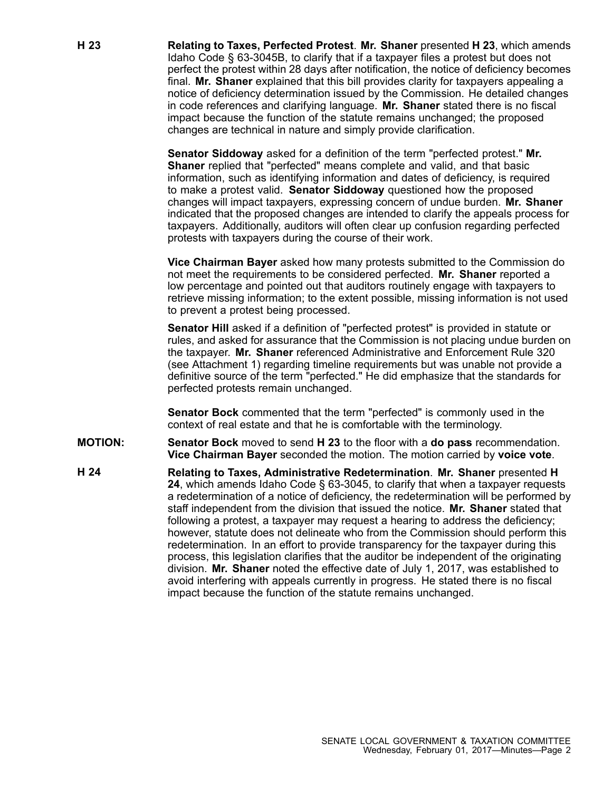**H 23 Relating to Taxes, Perfected Protest**. **Mr. Shaner** presented **H 23**, which amends Idaho Code § 63-3045B, to clarify that if <sup>a</sup> taxpayer files <sup>a</sup> protest but does not perfect the protest within 28 days after notification, the notice of deficiency becomes final. **Mr. Shaner** explained that this bill provides clarity for taxpayers appealing <sup>a</sup> notice of deficiency determination issued by the Commission. He detailed changes in code references and clarifying language. **Mr. Shaner** stated there is no fiscal impact because the function of the statute remains unchanged; the proposed changes are technical in nature and simply provide clarification.

> **Senator Siddoway** asked for <sup>a</sup> definition of the term "perfected protest." **Mr. Shaner** replied that "perfected" means complete and valid, and that basic information, such as identifying information and dates of deficiency, is required to make <sup>a</sup> protest valid. **Senator Siddoway** questioned how the proposed changes will impact taxpayers, expressing concern of undue burden. **Mr. Shaner** indicated that the proposed changes are intended to clarify the appeals process for taxpayers. Additionally, auditors will often clear up confusion regarding perfected protests with taxpayers during the course of their work.

> **Vice Chairman Bayer** asked how many protests submitted to the Commission do not meet the requirements to be considered perfected. **Mr. Shaner** reported <sup>a</sup> low percentage and pointed out that auditors routinely engage with taxpayers to retrieve missing information; to the extent possible, missing information is not used to prevent <sup>a</sup> protest being processed.

> **Senator Hill** asked if <sup>a</sup> definition of "perfected protest" is provided in statute or rules, and asked for assurance that the Commission is not placing undue burden on the taxpayer. **Mr. Shaner** referenced Administrative and Enforcement Rule 320 (see Attachment 1) regarding timeline requirements but was unable not provide <sup>a</sup> definitive source of the term "perfected." He did emphasize that the standards for perfected protests remain unchanged.

**Senator Bock** commented that the term "perfected" is commonly used in the context of real estate and that he is comfortable with the terminology.

- **MOTION: Senator Bock** moved to send **H 23** to the floor with <sup>a</sup> **do pass** recommendation. **Vice Chairman Bayer** seconded the motion. The motion carried by **voice vote**.
- **H 24 Relating to Taxes, Administrative Redetermination**. **Mr. Shaner** presented **H 24**, which amends Idaho Code § 63-3045, to clarify that when <sup>a</sup> taxpayer requests <sup>a</sup> redetermination of <sup>a</sup> notice of deficiency, the redetermination will be performed by staff independent from the division that issued the notice. **Mr. Shaner** stated that following <sup>a</sup> protest, <sup>a</sup> taxpayer may request <sup>a</sup> hearing to address the deficiency; however, statute does not delineate who from the Commission should perform this redetermination. In an effort to provide transparency for the taxpayer during this process, this legislation clarifies that the auditor be independent of the originating division. **Mr. Shaner** noted the effective date of July 1, 2017, was established to avoid interfering with appeals currently in progress. He stated there is no fiscal impact because the function of the statute remains unchanged.